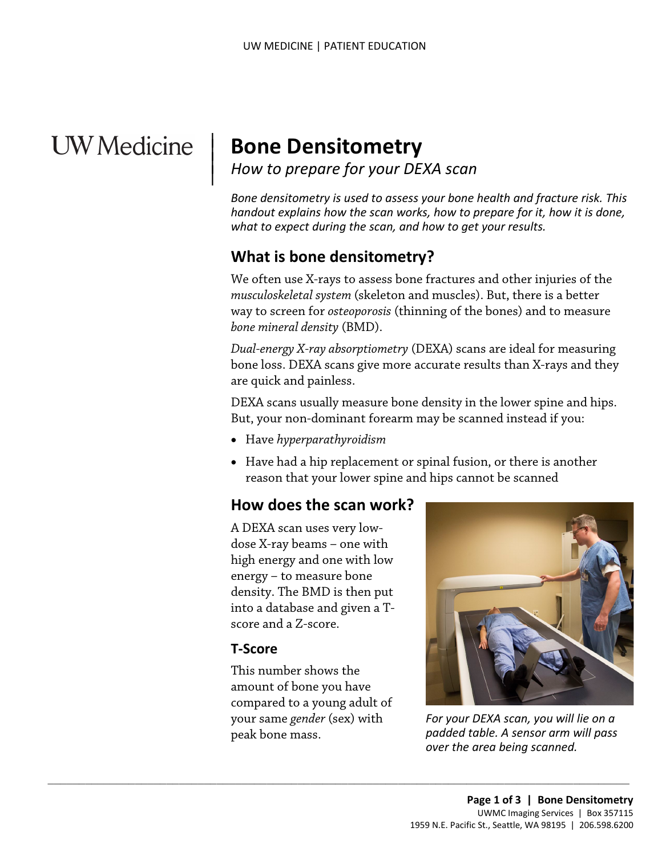# **UW** Medicine

 $\overline{\phantom{a}}$ 

# <sup>|</sup>**Bone Densitometry** <sup>|</sup>*How to prepare for your DEXA scan* <sup>|</sup>

 *handout explains how the scan works, how to prepare for it, how it is done, Bone densitometry is used to assess your bone health and fracture risk. This what to expect during the scan, and how to get your results.* 

# **What is bone densitometry?**

We often use X-rays to assess bone fractures and other injuries of the *musculoskeletal system* (skeleton and muscles). But, there is a better way to screen for *osteoporosis* (thinning of the bones) and to measure *bone mineral density* (BMD).

way to screen for *osteoporosis* (thinning of the bones) and to measur<br>bone mineral density (BMD).<br>Dual-energy X-ray absorptiometry (DEXA) scans are ideal for measuri<br>bone loss. DEXA scans give more accurate results than X *Dual-energy X-ray absorptiometry* (DEXA) scans are ideal for measuring bone loss. DEXA scans give more accurate results than X-rays and they are quick and painless.

DEXA scans usually measure bone density in the lower spine and hips. But, your non-dominant forearm may be scanned instead if you:

- Have *hyperparathyroidism*
- • Have had a hip replacement or spinal fusion, or there is another reason that your lower spine and hips cannot be scanned

#### **How does the scan work?**

 A DEXA scan uses very low- dose X-ray beams – one with high energy and one with low energy – to measure bone density. The BMD is then put into a database and given a Tscore and a Z-score.

#### **T-Score**

peak bone mass. This number shows the amount of bone you have compared to a young adult of your same *gender* (sex) with

 $\_$  ,  $\_$  ,  $\_$  ,  $\_$  ,  $\_$  ,  $\_$  ,  $\_$  ,  $\_$  ,  $\_$  ,  $\_$  ,  $\_$  ,  $\_$  ,  $\_$  ,  $\_$  ,  $\_$  ,  $\_$  ,  $\_$  ,  $\_$  ,  $\_$  ,  $\_$  ,  $\_$  ,  $\_$  ,  $\_$  ,  $\_$  ,  $\_$  ,  $\_$  ,  $\_$  ,  $\_$  ,  $\_$  ,  $\_$  ,  $\_$  ,  $\_$  ,  $\_$  ,  $\_$  ,  $\_$  ,  $\_$  ,  $\_$  ,



 peak bone mass. *For your DEXA scan, you will lie on a padded table. A sensor arm will pass over the area being scanned.*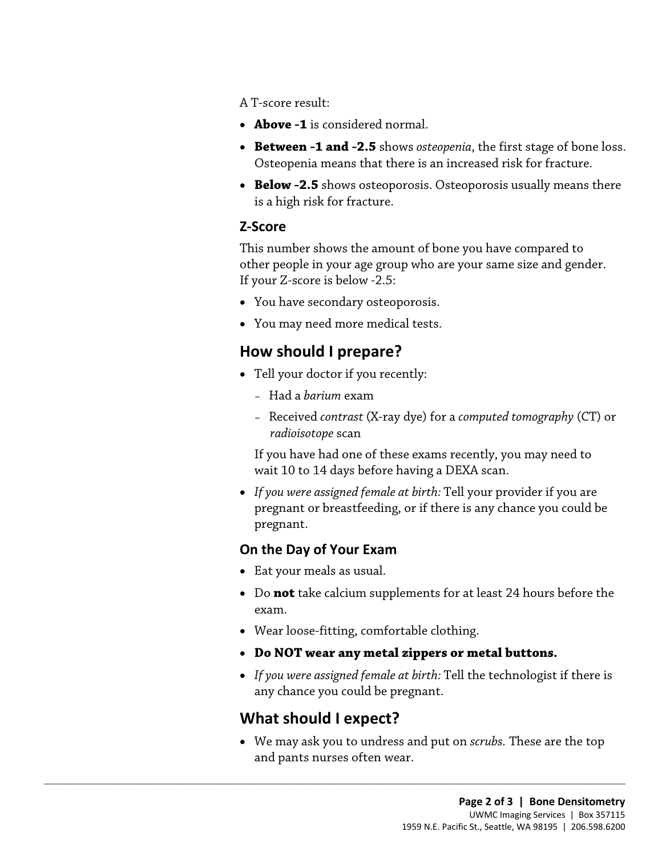A T-score result:

- **Above -1** is considered normal.
- **Between -1 and -2.5** shows *[osteopenia](javascript:glossAry()*, the first stage of bone loss. Osteopenia means that there is an increased risk for fracture.
- **Below -2.5** shows osteoporosis. Osteoporosis usually means there is a high risk for fracture.

#### **Z-Score**

This number shows the amount of bone you have compared to other people in your age group who are your same size and gender. If your Z-score is below -2.5:

- You have secondary osteoporosis.
- You may need more medical tests.

### **How should I prepare?**

- Tell your doctor if you recently:
	- Had a *barium* exam
- You have secondary osteoporosis.<br>• You may need more medical tests.<br>**How should I prepare?**<br>• Tell your doctor if you recently:<br>- Had a *barium* exam<br>- Received *contrast* (X-ray dye) for a *computed tomography* (C – Received *contrast* (X-ray dye) for a *computed tomography* (CT) or *radioisotope* scan

 wait 10 to 14 days before having a DEXA scan. If you have had one of these exams recently, you may need to

• *If you were assigned female at birth:* Tell your provider if you are pregnant or breastfeeding, or if there is any chance you could be pregnant.

#### **On the Day of Your Exam**

- Eat your meals as usual.
- Do **not** take calcium supplements for at least 24 hours before the exam.
- Wear loose-fitting, comfortable clothing.
- **Do NOT wear any metal zippers or metal buttons.**
- • *If you were assigned female at birth:* Tell the technologist if there is any chance you could be pregnant.

### **What should I expect?**

 $\_$  ,  $\_$  ,  $\_$  ,  $\_$  ,  $\_$  ,  $\_$  ,  $\_$  ,  $\_$  ,  $\_$  ,  $\_$  ,  $\_$  ,  $\_$  ,  $\_$  ,  $\_$  ,  $\_$  ,  $\_$  ,  $\_$  ,  $\_$  ,  $\_$  ,  $\_$  ,  $\_$  ,  $\_$  ,  $\_$  ,  $\_$  ,  $\_$  ,  $\_$  ,  $\_$  ,  $\_$  ,  $\_$  ,  $\_$  ,  $\_$  ,  $\_$  ,  $\_$  ,  $\_$  ,  $\_$  ,  $\_$  ,  $\_$  ,

• We may ask you to undress and put on *scrubs.* These are the top and pants nurses often wear.